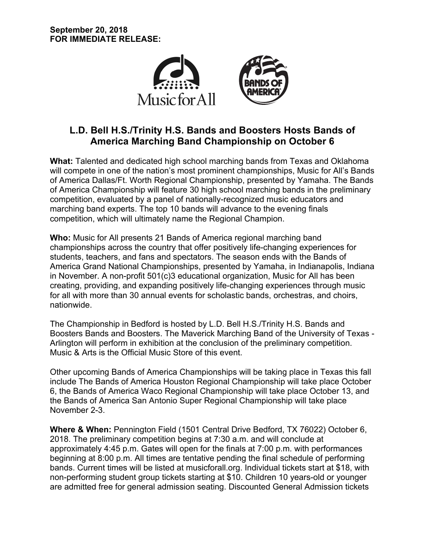

# **L.D. Bell H.S./Trinity H.S. Bands and Boosters Hosts Bands of America Marching Band Championship on October 6**

**What:** Talented and dedicated high school marching bands from Texas and Oklahoma will compete in one of the nation's most prominent championships, Music for All's Bands of America Dallas/Ft. Worth Regional Championship, presented by Yamaha. The Bands of America Championship will feature 30 high school marching bands in the preliminary competition, evaluated by a panel of nationally-recognized music educators and marching band experts. The top 10 bands will advance to the evening finals competition, which will ultimately name the Regional Champion.

**Who:** Music for All presents 21 Bands of America regional marching band championships across the country that offer positively life-changing experiences for students, teachers, and fans and spectators. The season ends with the Bands of America Grand National Championships, presented by Yamaha, in Indianapolis, Indiana in November. A non-profit 501(c)3 educational organization, Music for All has been creating, providing, and expanding positively life-changing experiences through music for all with more than 30 annual events for scholastic bands, orchestras, and choirs, nationwide.

The Championship in Bedford is hosted by L.D. Bell H.S./Trinity H.S. Bands and Boosters Bands and Boosters. The Maverick Marching Band of the University of Texas - Arlington will perform in exhibition at the conclusion of the preliminary competition. Music & Arts is the Official Music Store of this event.

Other upcoming Bands of America Championships will be taking place in Texas this fall include The Bands of America Houston Regional Championship will take place October 6, the Bands of America Waco Regional Championship will take place October 13, and the Bands of America San Antonio Super Regional Championship will take place November 2-3.

**Where & When:** Pennington Field (1501 Central Drive Bedford, TX 76022) October 6, 2018. The preliminary competition begins at 7:30 a.m. and will conclude at approximately 4:45 p.m. Gates will open for the finals at 7:00 p.m. with performances beginning at 8:00 p.m. All times are tentative pending the final schedule of performing bands. Current times will be listed at musicforall.org. Individual tickets start at \$18, with non-performing student group tickets starting at \$10. Children 10 years-old or younger are admitted free for general admission seating. Discounted General Admission tickets